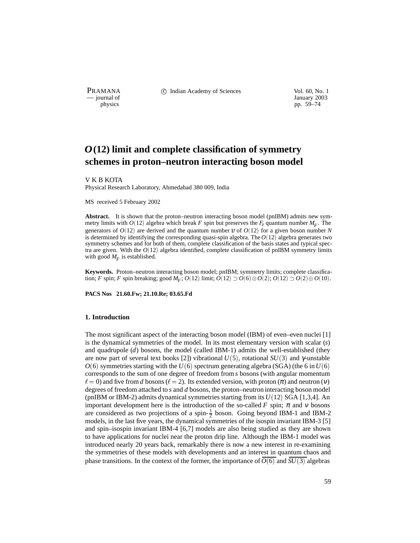PRAMANA 
<sup>c</sup> Indian Academy of Sciences Vol. 60, No. 1 Units Use Vol. 60, No. 1 Units Vol. 60, No. 1 Units Vol. 60, No. 1 Units Vol. 60, No. 1 Units Vol. 60, No. 1 Units Vol. 60, No. 1 Units Vol. 60, No. 1 Units Vol. 60, N — journal of January 2003

physics pp. 59–74

# *O* **(12) limit and complete classification of symmetry schemes in proton–neutron interacting boson model**

V K B KOTA

Physical Research Laboratory, Ahmedabad 380 009, India

MS received 5 February 2002

**Abstract.** It is shown that the proton–neutron interacting boson model (pnIBM) admits new symmetry limits with  $O(12)$  algebra which break *F* spin but preserves the  $F<sub>z</sub>$  quantum number  $M<sub>F</sub>$ . The generators of  $O(12)$  are derived and the quantum number  $\mathbb{U}$  of  $O(12)$  for a given boson number *N* is determined by identifying the corresponding quasi-spin algebra. The *O*(12) algebra generates two symmetry schemes and for both of them, complete classification of the basis states and typical spectra are given. With the  $O(12)$  algebra identified, complete classification of pnIBM symmetry limits with good  $M_F$  is established.

**Keywords.** Proton–neutron interacting boson model; pnIBM; symmetry limits; complete classification; *F* spin; *F* spin breaking; good  $M_F$ ;  $O(12)$  limit;  $O(12) \supset O(6) \otimes O(2)$ ;  $O(12) \supset O(2) \oplus O(10)$ .

**PACS Nos 21.60.Fw; 21.10.Re; 03.65.Fd**

## **1. Introduction**

The most significant aspect of the interacting boson model (IBM) of even–even nuclei [1] is the dynamical symmetries of the model. In its most elementary version with scalar (*s*) and quadrupole (*d*) bosons, the model (called IBM-1) admits the well-established (they are now part of several text books [2]) vibrational *U* (5), rotational *SU* (3) and γ-unstable  $O(6)$  symmetries starting with the  $U(6)$  spectrum generating algebra (SGA) (the 6 in  $U(6)$ corresponds to the sum of one degree of freedom from *s* bosons (with angular momentum  $\ell = 0$ ) and five from *d* bosons ( $\ell = 2$ ). Its extended version, with proton (π) and neutron (ν) degrees of freedom attached to *s* and *d* bosons, the proton–neutron interacting boson model (pnIBM or IBM-2) admits dynamical symmetries starting from its *U* (12) SGA [1,3,4]. An important development here is the introduction of the so-called *F* spin;  $\pi$  and  $\nu$  bosons are considered as two projections of a spin- $\frac{1}{2}$  boson. Going beyond IBM-1 and IBM-2 models, in the last five years, the dynamical symmetries of the isospin invariant IBM-3 [5] and spin–isospin invariant IBM-4 [6,7] models are also being studied as they are shown to have applications for nuclei near the proton drip line. Although the IBM-1 model was introduced nearly 20 years back, remarkably there is now a new interest in re-examining the symmetries of these models with developments and an interest in quantum chaos and phase transitions. In the context of the former, the importance of  $O(6)$  and  $SU(3)$  algebras

59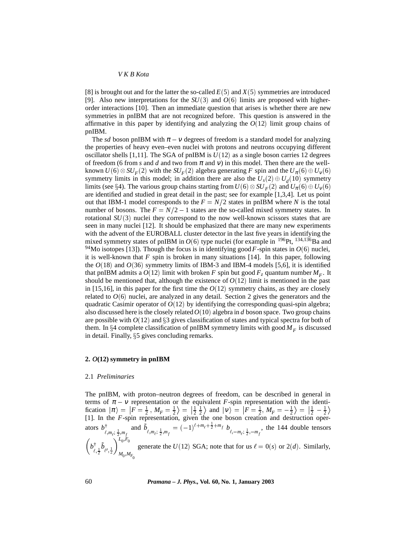[8] is brought out and for the latter the so-called *E* (5) and *X* (5) symmetries are introduced [9]. Also new interpretations for the  $SU(3)$  and  $O(6)$  limits are proposed with higherorder interactions [10]. Then an immediate question that arises is whether there are new symmetries in pnIBM that are not recognized before. This question is answered in the affirmative in this paper by identifying and analyzing the  $O(12)$  limit group chains of pnIBM.

The *sd* boson pnIBM with  $\pi - v$  degrees of freedom is a standard model for analyzing the properties of heavy even–even nuclei with protons and neutrons occupying different oscillator shells [1,11]. The SGA of pnIBM is  $U(12)$  as a single boson carries 12 degrees of freedom (6 from *s* and *d* and two from  $\pi$  and *v*) in this model. Then there are the wellknown  $U(6) \otimes SU_F(2)$  with the  $SU_F(2)$  algebra generating *F* spin and the  $U_{\pi}(6) \oplus U_{V}(6)$ symmetry limits in this model; in addition there are also the  $U_s(2) \oplus U_d(10)$  symmetry limits (see §4). The various group chains starting from  $U(6) \otimes SU_F(2)$  and  $U_{\pi}(6) \oplus U_{V}(6)$ are identified and studied in great detail in the past; see for example [1,3,4]. Let us point out that IBM-1 model corresponds to the  $F = N/2$  states in pnIBM where N is the total number of bosons. The  $F = N/2 - 1$  states are the so-called mixed symmetry states. In rotational  $SU(3)$  nuclei they correspond to the now well-known scissors states that are seen in many nuclei [12]. It should be emphasized that there are many new experiments with the advent of the EUROBALL cluster detector in the last five years in identifying the mixed symmetry states of pnIBM in  $O(6)$  type nuclei (for example in <sup>196</sup>Pt, <sup>134,136</sup>Ba and <sup>94</sup>Mo isotopes [13]). Though the focus is in identifying good *F*-spin states in  $O(6)$  nuclei, it is well-known that  $F$  spin is broken in many situations [14]. In this paper, following the  $O(18)$  and  $O(36)$  symmetry limits of IBM-3 and IBM-4 models [5,6], it is identified that pnIBM admits a  $O(12)$  limit with broken *F* spin but good  $F_z$  quantum number  $M_F$ . It should be mentioned that, although the existence of  $O(12)$  limit is mentioned in the past in [15,16], in this paper for the first time the  $O(12)$  symmetry chains, as they are closely related to  $O(6)$  nuclei, are analyzed in any detail. Section 2 gives the generators and the quadratic Casimir operator of  $O(12)$  by identifying the corresponding quasi-spin algebra; also discussed here is the closely related*O*(10) algebra in *d* boson space. Two group chains are possible with  $O(12)$  and  $\S 3$  gives classification of states and typical spectra for both of them. In §4 complete classification of pnIBM symmetry limits with good  $M_F$  is discussed in detail. Finally,  $\S5$  gives concluding remarks.

## **2.** *O***(12) symmetry in pnIBM**

## 2.1 *Preliminaries*

The pnIBM, with proton–neutron degrees of freedom, can be described in general in terms of  $\pi - v$  representation or the equivalent *F*-spin representation with the identification  $|\pi\rangle = |\vec{F} = \frac{1}{2}$ ,  $M_F = \frac{1}{2}\rangle = |\frac{1}{2}\frac{1}{2}\rangle$  and  $|v\rangle = |\vec{F} = \frac{1}{2}$ ,  $M_F = -\frac{1}{2}\rangle = |\frac{1}{2} - \frac{1}{2}\rangle$ [1]. In the *F*-spin representation, given the one boson creation and destruction operators  $b^{\dagger}_{\ell,m_{\ell};\frac{1}{2},m_{f}}$  and  $\tilde{b}_{\ell,m_{\ell};\frac{1}{2},m_{f}} = (-1)^{\ell+m_{\ell}+\frac{1}{2}+m_{f}} b^{\ell}_{\ell,-m_{\ell};\frac{1}{2},-m_{f}},$  the 144 double tensors  $\left(b^{\dagger}_{\ell,\frac{1}{2}}\tilde{b}_{\ell',\frac{1}{2}}\right)^{L_{0},F_{0}}_{M_{0},M_{F_{0}}}$ generate the  $U(12)$  SGA; note that for us  $\ell = 0(s)$  or  $2(d)$ . Similarly,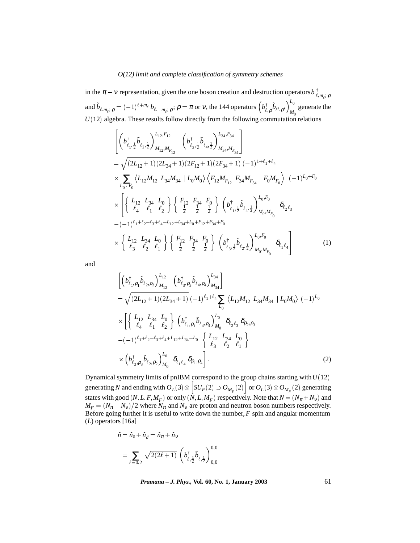in the  $\pi - \nu$  representation, given the one boson creation and destruction operators  $b^{\dagger}_{\ell,m_i;\rho}$ and  $\tilde{b}_{\ell,m_{\ell};\,\rho} = (-1)^{\ell+m_{\ell}} b_{\ell,-m_{\ell};\,\rho};\,\rho = \pi$  or v, the 144 operators  $(b^{\dagger}_{\ell,\rho} \tilde{b}_{\ell',\rho'})^{L_0}_{M_0}$  generate the generate the  $U(12)$  algebra. These results follow directly from the following commutation relations

$$
\begin{split}\n&\left[\left(b_{\ell_{1},\frac{1}{2}}^{\dagger}\tilde{b}_{\ell_{2},\frac{1}{2}}\right)_{M_{12},M_{F_{12}}}^{L_{12},F_{12}}\left(b_{\ell_{3},\frac{1}{2}}^{\dagger}\tilde{b}_{\ell_{4},\frac{1}{2}}\right)_{M_{34},M_{F_{34}}}^{L_{34},F_{34}}\right] \\
&=\sqrt{(2L_{12}+1)(2L_{34}+1)(2F_{12}+1)(2F_{34}+1)}(-1)^{1+\ell_{1}+\ell_{4}} \\
&\times \sum_{L_{0},F_{0}}\left\langle L_{12}M_{12}\right. L_{34}M_{34}\right|L_{0}M_{0}\left\langle F_{12}M_{F_{12}}\right. F_{34}M_{F_{34}}\right|F_{0}M_{F_{0}}\right\rangle(-1)^{L_{0}+F_{0}} \\
&\times \left[\left\{\begin{array}{cc}L_{12}\left.\rightL_{34}\left.\rightL_{0}\right\\ \ell_{4}\left.\right\}\left\{\begin{array}{cc}F_{12}\left.\rightF_{34}\left.\rightF_{0}\right\\ \frac{1}{2}\left.\begin{array}{c}\frac{1}{2}\left.\right\}^{2}\left.\frac{1}{2}\right\}\end{array}\right\}\left(b_{\ell_{1},\frac{1}{2}}^{\dagger}\tilde{b}_{\ell_{4},\frac{1}{2}}\right)_{M_{0},M_{F_{0}}}^{L_{0},F_{0}}\right.\right. \\
&\left.-(-1)^{\ell_{1}+\ell_{2}+\ell_{3}+\ell_{4}+L_{12}+L_{34}+L_{0}+F_{12}+F_{34}+F_{0}} \\
&\times\left\{\begin{array}{cc}L_{12}\left.\rightL_{34}\left.\rightL_{0}\right\\ \ell_{3}\left.\right\}\left\{\begin{array}{cc}\frac{1}{2}\left.\begin{array}{c}\frac{1}{2}\left.\right\}^{2}\left.\begin{array}{c}\frac{1}{2}\left.\right\}^{2}\left.\begin{array}{c}\frac{1}{2}\left.\right\}^{2}\left.\begin{array}{c}\frac{1}{2}\left.\right\}^{2}\left.\begin{array}{c}\frac{1}{2}\left.\right\}^{2}\left.\begin{array}{c}\frac{1}{2}\left.\rule{0pt}{2}\right\}
$$

and

$$
\begin{split}\n&\left[\left(b_{\ell_{1},\rho_{1}}^{\dagger}\tilde{b}_{\ell_{2},\rho_{2}}\right)_{M_{12}}^{L_{12}}\left(b_{\ell_{3},\rho_{3}}^{\dagger}\tilde{b}_{\ell_{4},\rho_{4}}\right)_{M_{34}}^{L_{34}}\right]_{-} \\
&=\sqrt{(2L_{12}+1)(2L_{34}+1)}\left(-1\right)^{\ell_{1}+\ell_{4}}\sum_{L_{0}}\left\langle L_{12}M_{12}\ L_{34}M_{34}\ |L_{0}M_{0}\right\rangle\left(-1\right)^{L_{0}} \\
&\times\left[\left\{\begin{array}{cc}L_{12}\ L_{34}\ L_{0} \\ \ell_{4}\ \ell_{1}\ \ell_{2}\end{array}\right\}\left(b_{\ell_{1},\rho_{1}}^{\dagger}\tilde{b}_{\ell_{4},\rho_{4}}\right)_{M_{0}}^{L_{0}}\delta_{\ell_{2}\ell_{3}}\delta_{\rho_{2},\rho_{3}} \\
&-(-1)^{\ell_{1}+\ell_{2}+\ell_{3}+\ell_{4}+L_{12}+L_{34}+L_{0}}\left\{\begin{array}{cc}L_{12}\ L_{34}\ L_{0} \\ \ell_{3}\ \ell_{2}\ \ell_{1}\end{array}\right\} \\
&\times\left(b_{\ell_{3},\rho_{3}}^{\dagger}\tilde{b}_{\ell_{2},\rho_{2}}\right)_{M_{0}}^{L_{0}}\delta_{\ell_{1}\ell_{4}}\delta_{\rho_{1},\rho_{4}}\right].\n\end{split} \tag{2}
$$

Dynamical symmetry limits of pnIBM correspond to the group chains starting with*U* (12) generating *N* and ending with  $O_L(3) \otimes \left| SU_F(2) \supset O_M \right|$  $\left[SU_F(2) \supset O_{M_F}(2)\right]$  or  $O_L(3) \otimes O_{M_F}(2)$  generating states with good  $(N, L, F, M_F)$  or only  $(N, L, M_F)$  respectively. Note that  $N = (N_{\pi} + N_V)$  and  $M_F = (N_{\pi} - N_{\nu})/2$  where  $N_{\pi}$  and  $N_{\nu}$  are proton and neutron boson numbers respectively. Before going further it is useful to write down the number,*F* spin and angular momentum (*L*) operators [16a]

$$
\hat{n} = \hat{n}_s + \hat{n}_d = \hat{n}_\pi + \hat{n}_v
$$
\n
$$
= \sum_{\ell=0,2} \sqrt{2(2\ell+1)} \left( b_{\ell,\frac{1}{2}}^\dagger \tilde{b}_{\ell,\frac{1}{2}} \right)_{0,0}^{0,0}
$$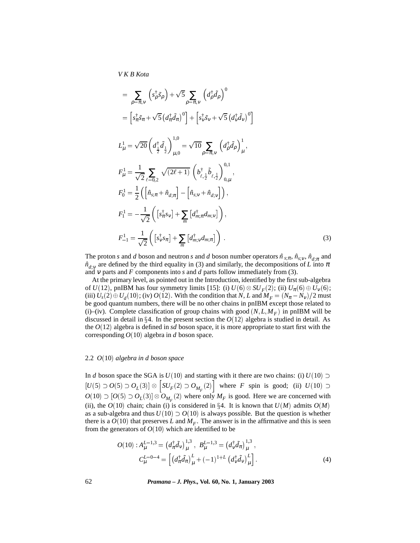$$
= \sum_{\rho=\pi,\nu} \left( s_{\rho}^{\dagger} \tilde{s}_{\rho} \right) + \sqrt{5} \sum_{\rho=\pi,\nu} \left( d_{\rho}^{\dagger} \tilde{d}_{\rho} \right)^{0}
$$
  
\n
$$
= \left[ s_{\pi}^{\dagger} \tilde{s}_{\pi} + \sqrt{5} \left( d_{\pi}^{\dagger} \tilde{d}_{\pi} \right)^{0} \right] + \left[ s_{\nu}^{\dagger} \tilde{s}_{\nu} + \sqrt{5} \left( d_{\nu}^{\dagger} \tilde{d}_{\nu} \right)^{0} \right]
$$
  
\n
$$
L_{\mu}^{1} = \sqrt{20} \left( d_{\frac{1}{2}}^{\dagger} \tilde{d}_{\frac{1}{2}} \right)_{\mu,0}^{1,0} = \sqrt{10} \sum_{\rho=\pi,\nu} \left( d_{\rho}^{\dagger} \tilde{d}_{\rho} \right)_{\mu}^{1},
$$
  
\n
$$
F_{\mu}^{1} = \frac{1}{\sqrt{2}} \sum_{\ell=0,2} \sqrt{(2\ell+1)} \left( b_{\ell,\frac{1}{2}}^{\dagger} \tilde{b}_{\ell,\frac{1}{2}} \right)_{0,\mu}^{0,1},
$$
  
\n
$$
F_{0}^{1} = \frac{1}{2} \left( \left[ \hat{n}_{s;\pi} + \hat{n}_{d;\pi} \right] - \left[ \hat{n}_{s;\nu} + \hat{n}_{d;\nu} \right] \right),
$$
  
\n
$$
F_{1}^{1} = -\frac{1}{\sqrt{2}} \left( \left[ s_{\pi}^{\dagger} s_{\nu} \right] + \sum_{m} \left[ d_{m;\nu}^{\dagger} d_{m;\nu} \right] \right),
$$
  
\n
$$
F_{-1}^{1} = \frac{1}{\sqrt{2}} \left( \left[ s_{\nu}^{\dagger} s_{\pi} \right] + \sum_{m} \left[ d_{m;\nu}^{\dagger} d_{m;\pi} \right] \right).
$$
  
\n(3)

The proton *s* and *d* boson and neutron *s* and *d* boson number operators  $\hat{n}_{s,\pi}$ ,  $\hat{n}_{s,\nu}$ ,  $\hat{n}_{d,\pi}$  and  $\hat{n}_{d,v}$  are defined by the third equality in (3) and similarly, the decompositions of *L* into  $\pi$ and <sup>ν</sup> parts and *F* components into *s* and *d* parts follow immediately from (3).

At the primary level, as pointed out in the Introduction, identified by the first sub-algebra of *U*(12), pnIBM has four symmetry limits [15]: (i)  $U(6) \otimes SU_F(2)$ ; (ii)  $U_{\pi}(6) \oplus U_{\nu}(6)$ ; (iii)  $U_s(2) \oplus U_d(10)$ ; (iv)  $O(12)$ . With the condition that *N*, *L* and  $M_F = (N_\pi - N_v)/2$  must be good quantum numbers, there will be no other chains in pnIBM except those related to (i)–(iv). Complete classification of group chains with good  $(N, L, M_F)$  in pnIBM will be discussed in detail in  $\S 4$ . In the present section the  $O(12)$  algebra is studied in detail. As the  $O(12)$  algebra is defined in *sd* boson space, it is more appropriate to start first with the corresponding  $O(10)$  algebra in *d* boson space.

#### 2.2 *O*(10) *algebra in d boson space*

In *d* boson space the SGA is  $U(10)$  and starting with it there are two chains: (i)  $U(10)$  $[U(5)\supset O(5)\supset O_{L}(3)]\otimes\ \big|SU_{F}(2)\supset O_{R}$  $\left[ SU_F(2) \supset O_{M_F}(2) \right]$  where *F* spin is good; (ii)  $U(10) \supset$  $O(10) \supset [O(5) \supset O_L(3)] \otimes O_{M_F}(2)$  where only  $M_F$  is good. Here we are concerned with (ii), the  $O(10)$  chain; chain (i) is considered in §4. It is known that  $U(M)$  admits  $O(M)$ as a sub-algebra and thus  $U(10) \supset O(10)$  is always possible. But the question is whether there is a  $O(10)$  that preserves *L* and  $M_F$ . The answer is in the affirmative and this is seen from the generators of  $O(10)$  which are identified to be

$$
O(10): A_{\mu}^{L=1,3} = (d_{\pi}^{\dagger} \tilde{d}_{\nu})_{\mu}^{1,3}, B_{\mu}^{L=1,3} = (d_{\nu}^{\dagger} \tilde{d}_{\pi})_{\mu}^{1,3},
$$

$$
C_{\mu}^{L=0-4} = \left[ (d_{\pi}^{\dagger} \tilde{d}_{\pi})_{\mu}^{L} + (-1)^{1+L} (d_{\nu}^{\dagger} \tilde{d}_{\nu})_{\mu}^{L} \right].
$$
 (4)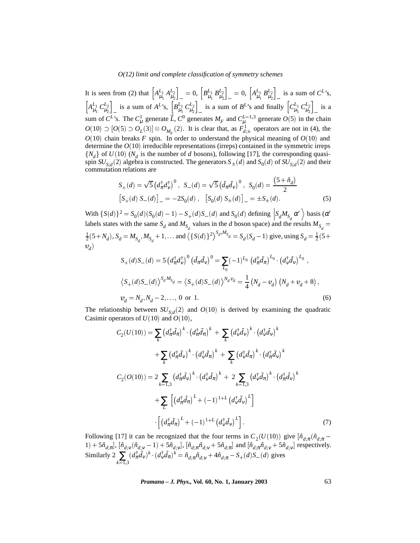It is seen from (2) that  $\left[A_{\mu_1}^{L_1} A_{\mu_2}^{L_2}\right]_0 = 0$ ,  $\left[B_{\mu_1}^{L_1} B_{\mu_2}^{L_2}\right]_0 = 0$ ,  $\left[A_{\mu_1}^{L_1} B_{\mu_2}^{L_2}\right]_0$  is a sum of  $C^L$ 's,  $\left[A_{\mu_1}^{L_1} C_{\mu_2}^{L_2}\right]$  is a sum of  $A^{L}$ 's,  $\left[B_{\mu_1}^{L_1} C_{\mu_2}^{L_2}\right]$  is a sum of  $B^{L}$ 's and finally  $\left[C_{\mu_1}^{L_1} C_{\mu_2}^{L_2}\right]$  is a sum of  $C^L$ 's. The  $C^1_\mu$  generate  $\vec{L}$ ,  $C^0$  generates  $M_F$  and  $C^{L=1,3}_\mu$  generate  $O(5)$  in the chain  $O(10) \supset [O(5) \supset O_L(3)] \otimes O_{M_F}(2)$ . It is clear that, as  $F^1_{d,\pm}$  operators are not in (4), the  $O(10)$  chain breaks *F* spin. In order to understand the physical meaning of  $O(10)$  and determine the *O*(10) irreducible representations (irreps) contained in the symmetric irreps  $\{N_d\}$  of  $U(10)$  ( $N_d$  is the number of *d* bosons), following [17], the corresponding quasispin  $SU_{S,d}(2)$  algebra is constructed. The generators  $S_{\pm}(d)$  and  $S_0(d)$  of  $SU_{S,d}(2)$  and their commutation relations are

$$
S_{+}(d) = \sqrt{5} \left( d_{\pi}^{\dagger} d_{\nu}^{\dagger} \right)^{0}, \quad S_{-}(d) = \sqrt{5} \left( \tilde{d}_{\pi} \tilde{d}_{\nu} \right)^{0}, \quad S_{0}(d) = \frac{(5 + \hat{n}_{d})}{2}
$$
  
\n
$$
\left[ S_{+}(d) S_{-}(d) \right]_{-} = -2S_{0}(d), \quad \left[ S_{0}(d) S_{+}(d) \right]_{-} = \pm S_{+}(d).
$$
 (5)

With  $\{S(d)\}^2 = S_0(d)(S_0(d) - 1) - S_+(d)S_-(d)$  and  $S_0(d)$  defining  $S_dM_{S_d}\alpha'$  basis ( $\alpha'$ labels states with the same  $S_d$  and  $M_{S_d}$  values in the *d* boson space) and the results  $M_{S_d} =$  $\frac{1}{2}(5+N_d)$ ,  $S_d = M_{S_d}$ ,  $M_{S_d} + 1$ , ... and  $\langle {S(d)}^2 \rangle^{S_d,M_{S_d}} = S_d(S_d - 1)$  give, using  $S_d = \frac{1}{2}(5+N_d)$  $v_{d}$ )

$$
S_{+}(d)S_{-}(d) = 5 \left(d_{\pi}^{\dagger} d_{\nu}^{\dagger}\right)^{0} \left(\tilde{d}_{\pi} \tilde{d}_{\nu}\right)^{0} = \sum_{L_{0}} (-1)^{L_{0}} \left(d_{\pi}^{\dagger} \tilde{d}_{\pi}\right)^{L_{0}} \cdot \left(d_{\nu}^{\dagger} \tilde{d}_{\nu}\right)^{L_{0}},
$$
  

$$
\left\langle S_{+}(d)S_{-}(d)\right\rangle^{S_{d}M_{S_{d}}} = \left\langle S_{+}(d)S_{-}(d)\right\rangle^{N_{d}\Psi_{d}} = \frac{1}{4} \left(N_{d} - \Psi_{d}\right) \left(N_{d} + \Psi_{d} + 8\right),
$$
  

$$
\Psi_{d} = N_{d}, N_{d} - 2, \dots, 0 \text{ or } 1.
$$
 (6)

The relationship between  $SU_{S,d}(2)$  and  $O(10)$  is derived by examining the quadratic Casimir operators of *U* (10) and *O*(10),

$$
C_2(U(10)) = \sum_{k} \left(d_{\pi}^{\dagger} \tilde{d}_{\pi}\right)^{k} \cdot \left(d_{\pi}^{\dagger} \tilde{d}_{\pi}\right)^{k} + \sum_{k} \left(d_{\nu}^{\dagger} \tilde{d}_{\nu}\right)^{k} \cdot \left(d_{\nu}^{\dagger} \tilde{d}_{\nu}\right)^{k}
$$

$$
+ \sum_{k} \left(d_{\pi}^{\dagger} \tilde{d}_{\nu}\right)^{k} \cdot \left(d_{\nu}^{\dagger} \tilde{d}_{\pi}\right)^{k} + \sum_{k} \left(d_{\nu}^{\dagger} \tilde{d}_{\pi}\right)^{k} \cdot \left(d_{\pi}^{\dagger} \tilde{d}_{\nu}\right)^{k}
$$

$$
C_2(O(10)) = 2 \sum_{k=1,3} \left(d_{\pi}^{\dagger} \tilde{d}_{\nu}\right)^{k} \cdot \left(d_{\nu}^{\dagger} \tilde{d}_{\pi}\right)^{k} + 2 \sum_{k=1,3} \left(d_{\nu}^{\dagger} \tilde{d}_{\pi}\right)^{k} \cdot \left(d_{\pi}^{\dagger} \tilde{d}_{\nu}\right)^{k}
$$

$$
+ \sum_{L} \left[ \left(d_{\pi}^{\dagger} \tilde{d}_{\pi}\right)^{L} + (-1)^{1+L} \left(d_{\nu}^{\dagger} \tilde{d}_{\nu}\right)^{L} \right]
$$

$$
\left[ \left(d_{\pi}^{\dagger} \tilde{d}_{\pi}\right)^{L} + (-1)^{1+L} \left(d_{\nu}^{\dagger} \tilde{d}_{\nu}\right)^{L} \right].
$$
 (7)

Following [17] it can be recognized that the four terms in  $C_2(U(10))$  give  $[\hat{n}_{d,\pi}(\hat{n}_{d,\pi} 1) + 5 \hat{n}_{d,\pi}$ ,  $[\hat{n}_{d,\nu}(\hat{n}_{d,\nu} - 1) + 5 \hat{n}_{d,\nu}]$ ,  $[\hat{n}_{d,\pi} \hat{n}_{d,\nu} + 5 \hat{n}_{d,\pi}]$  and  $[\hat{n}_{d,\pi} \hat{n}_{d,\nu} + 5 \hat{n}_{d,\nu}]$  respectively. Similarly 2  $\sum_{k=1,3}$  $(d^{\dagger}_{\pi} \tilde{d}_{\nu})^k \cdot (d^{\dagger}_{\nu} \tilde{d}_{\pi})^k = \hat{n}_{d;\pi} \hat{n}_{d;\nu} + 4 \hat{n}_{d;\pi} - S_+(d)S_-(d)$  gives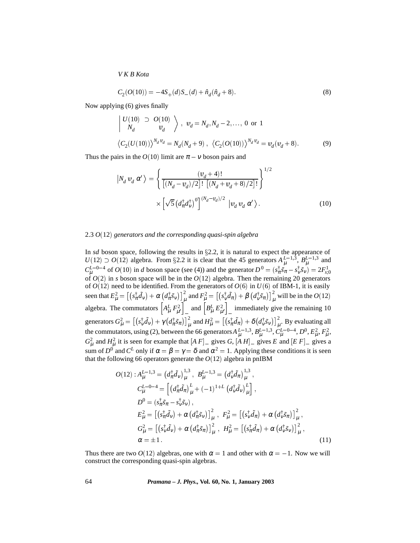$$
C_2(O(10)) = -4S_+(d)S_-(d) + \hat{n}_d(\hat{n}_d + 8).
$$
\n(8)

Now applying (6) gives finally

$$
\begin{aligned}\n\left| \begin{array}{cc} U(10) & \supset & O(10) \\ N_d & \mathbf{u}_d \end{array} \right\rangle, \ \mathbf{u}_d &= N_d, N_d - 2, \dots, 0 \text{ or } 1 \\
\left\langle C_2(U(10)) \right\rangle^{N_d \mathbf{u}_d} &= N_d(N_d + 9), \ \left\langle C_2(O(10)) \right\rangle^{N_d \mathbf{u}_d} &= \mathbf{u}_d(\mathbf{u}_d + 8).\n\end{aligned} \tag{9}
$$

Thus the pairs in the  $O(10)$  limit are  $\pi - v$  boson pairs and

$$
|N_d v_d \alpha'\rangle = \left\{ \frac{(v_d+4)!}{\left[ (N_d - v_d)/2 \right]! \left[ (N_d + v_d + 8)/2 \right]!} \right\}^{1/2}
$$

$$
\times \left[ \sqrt{5} \left( d_\pi^\dagger d_\nu^\dagger \right)^0 \right]^{(N_d - v_d)/2} |v_d v_d \alpha'\rangle. \tag{10}
$$

## 2.3 *O*(12) *generators and the corresponding quasi-spin algebra*

In  $sd$  boson space, following the results in  $\S2.2$ , it is natural to expect the appearance of  $U(12) \supset O(12)$  algebra. From §2.2 it is clear that the 45 generators  $A_{\mu}^{L=1,3}$ ,  $B_{\mu}^{L=1,3}$  and  $C_{\mu}^{L=0-4}$  of  $O(10)$  in *d* boson space (see (4)) and the generator  $D^0 = (s_{\pi}^{\dagger} \tilde{s}_{\pi} - s_{\nu}^{\dagger} \tilde{s}_{\nu}) = 2F_{s,0}^1$ of *O*(2) in *s* boson space will be in the *O*(12) algebra. Then the remaining 20 generators of *O*(12) need to be identified. From the generators of *O*(6) in *U* (6) of IBM-1, it is easily seen that  $E_{\mu}^2 = \left[ \left( s_{\pi}^{\dagger} \tilde{d}_{\nu} \right) + \alpha \left( d_{\pi}^{\dagger} \tilde{s}_{\nu} \right) \right]_{\mu}^2$  and  $F_{\mu}^2 = \left[ \left( s_{\nu}^{\dagger} \tilde{d}_{\pi} \right) + \beta \left( d_{\nu}^{\dagger} \tilde{s}_{\pi} \right) \right]_{\mu}^2$  will be in the  $O(12)$ algebra. The commutators  $\left[A_\mu^L F_{\mu'}^2\right]_$  and  $\left[B_\mu^L E_{\mu'}^2\right]_$  immediately give the remaining 10 generators  $G^2_\mu = \left[ \left( s_\nu^\dagger \tilde{d}_\nu \right) + \gamma \left( d_\pi^\dagger \tilde{s}_\pi \right) \right]_\mu^2$  and  $H^2_\mu = \left[ \left( s_\pi^\dagger \tilde{d}_\pi \right) + \delta \left( d_\nu^\dagger \tilde{s}_\nu \right) \right]_\mu^2$ . By evaluating all the commutators, using (2), between the 66 generators  $A_{\mu}^{L=1,3}, B_{\mu}^{L=1,3}, C_{\mu}^{L=0-4}, D^0, E_{\mu}^2, F_{\mu}^2$ ,  $G_{\mu}^2$  and  $H_{\mu}^2$  it is seen for example that  $[A F]$  gives  $G$ ,  $[A H]$  gives  $E$  and  $[E F]$  gives a sum of  $D^0$  and  $C^L$  only if  $\alpha = \beta = \gamma = \delta$  and  $\alpha^2 = 1$ . Applying these conditions it is seen that the following 66 operators generate the *O*(12) algebra in pnIBM

$$
O(12): A_{\mu}^{L=1,3} = (d_{\pi}^{\dagger} \tilde{d}_{\nu})_{\mu}^{1,3}, B_{\mu}^{L=1,3} = (d_{\nu}^{\dagger} \tilde{d}_{\pi})_{\mu}^{1,3},
$$
  
\n
$$
C_{\mu}^{L=0-4} = \left[ (d_{\pi}^{\dagger} \tilde{d}_{\pi})_{\mu}^{L} + (-1)^{1+L} (d_{\nu}^{\dagger} \tilde{d}_{\nu})_{\mu}^{L} \right],
$$
  
\n
$$
D^{0} = (s_{\pi}^{\dagger} \tilde{s}_{\pi} - s_{\nu}^{\dagger} \tilde{s}_{\nu}),
$$
  
\n
$$
E_{\mu}^{2} = \left[ (s_{\pi}^{\dagger} \tilde{d}_{\nu}) + \alpha (d_{\pi}^{\dagger} \tilde{s}_{\nu}) \right]_{\mu}^{2}, F_{\mu}^{2} = \left[ (s_{\nu}^{\dagger} \tilde{d}_{\pi}) + \alpha (d_{\nu}^{\dagger} \tilde{s}_{\pi}) \right]_{\mu}^{2},
$$
  
\n
$$
G_{\mu}^{2} = \left[ (s_{\nu}^{\dagger} \tilde{d}_{\nu}) + \alpha (d_{\pi}^{\dagger} \tilde{s}_{\pi}) \right]_{\mu}^{2}, H_{\mu}^{2} = \left[ (s_{\pi}^{\dagger} \tilde{d}_{\pi}) + \alpha (d_{\nu}^{\dagger} \tilde{s}_{\nu}) \right]_{\mu}^{2},
$$
  
\n
$$
\alpha = \pm 1.
$$
  
\n(11)

Thus there are two  $O(12)$  algebras, one with  $\alpha = 1$  and other with  $\alpha = -1$ . Now we will construct the corresponding quasi-spin algebras.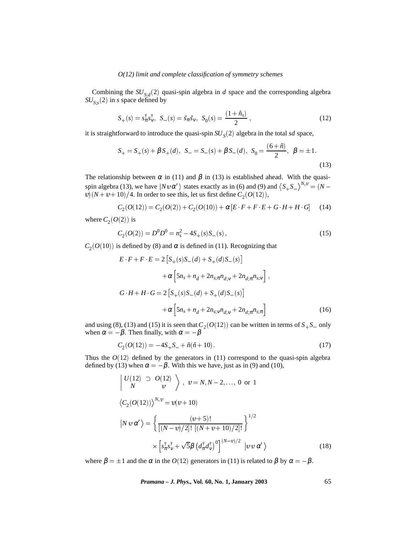Combining the  $SU_{S,d}(2)$  quasi-spin algebra in *d* space and the corresponding algebra  $SU_{S,s}(2)$  in *s* space defined by

$$
S_{+}(s) = s_{\pi}^{\dagger} s_{V}^{\dagger}, \ \ S_{-}(s) = \tilde{s}_{\pi} \tilde{s}_{V}, \ \ S_{0}(s) = \frac{(1 + \hat{n}_{s})}{2}, \tag{12}
$$

it is straightforward to introduce the quasi-spin  $SU<sub>S</sub>(2)$  algebra in the total *sd* space,

$$
S_{+} = S_{+}(s) + \beta S_{+}(d), \ S_{-} = S_{-}(s) + \beta S_{-}(d), \ S_{0} = \frac{(6+\hat{n})}{2}, \ \beta = \pm 1.
$$
\n(13)

The relationship between  $\alpha$  in (11) and  $\beta$  in (13) is established ahead. With the quasispin algebra (13), we have  $|N \Psi \alpha' \rangle$  states exactly as in (6) and (9) and  $\langle S_+ S_- \rangle^{N,\Psi} = (N$  $v(x) = v + 10$  /4. In order to see this, let us first define  $C_2(O(12))$ ,

$$
C_2(O(12)) = C_2(O(2)) + C_2(O(10)) + \alpha [E \ F + F \ E + G \ H + H \ G] \tag{14}
$$

where  $C_2(O(2))$  is

$$
C_2(O(2)) = D^0 D^0 = n_s^2 - 4S_+(s)S_-(s) ,\qquad (15)
$$

 $C_2(O(10))$  is defined by (8) and  $\alpha$  is defined in (11). Recognizing that

$$
E \cdot F + F \cdot E = 2 \left[ S_+(s)S_-(d) + S_+(d)S_-(s) \right]
$$
  
+  $\alpha \left[ 5n_s + n_d + 2n_{s,\pi}n_{d;\nu} + 2n_{d,\pi}n_{s;\nu} \right],$   
 $G \cdot H + H \cdot G = 2 \left[ S_+(s)S_-(d) + S_+(d)S_-(s) \right]$   
+  $\alpha \left[ 5n_s + n_d + 2n_{s;\nu}n_{d;\nu} + 2n_{d,\pi}n_{s;\pi} \right]$  (16)

and using (8), (13) and (15) it is seen that  $C_2(O(12))$  can be written in terms of  $S_+S_-$  only when  $\alpha = -\beta$ . Then finally, with  $\alpha = -\beta$ 

$$
C_2(O(12)) = -4S_+S_- + \hat{n}(\hat{n}+10). \tag{17}
$$

Thus the  $O(12)$  defined by the generators in  $(11)$  correspond to the quasi-spin algebra defined by (13) when  $\alpha = -\beta$ . With this we have, just as in (9) and (10),

$$
\begin{aligned}\n\left| \begin{array}{cc} U(12) &\supset O(12) \\ N & \end{array} \right\rangle, \quad v = N, N - 2, \dots, 0 \quad \text{or} \quad 1 \\
\left\langle C_2(O(12)) \right\rangle^{N, \nu} &= v(v + 10) \\
\left| N \, v \, \alpha' \right\rangle &= \left\{ \frac{(v + 5)!}{\left[ (N - v) / 2 \right]! \left[ (N + v + 10) / 2 \right]!} \right\}^{1/2} \\
&\times \left[ s_{\pi}^{\dagger} s_{V}^{\dagger} + \sqrt{5} \beta \left( d_{\pi}^{\dagger} d_{V}^{\dagger} \right)^{0} \right]^{(N - v) / 2} \left| v \, v \, \alpha' \right\rangle\n\end{aligned} \tag{18}
$$

where  $\beta = \pm 1$  and the  $\alpha$  in the  $O(12)$  generators in (11) is related to  $\beta$  by  $\alpha = -\beta$ .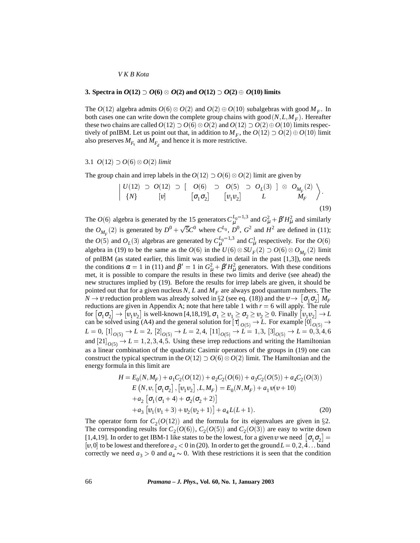## **3.** Spectra in  $O(12) \supset O(6) \otimes O(2)$  and  $O(12) \supset O(2) \oplus O(10)$  limits

The  $O(12)$  algebra admits  $O(6) \otimes O(2)$  and  $O(2) \oplus O(10)$  subalgebras with good  $M_F$ . In both cases one can write down the complete group chains with good  $(N, L, M_F)$ . Hereafter these two chains are called  $O(12) \supset O(6) \otimes O(2)$  and  $O(12) \supset O(2) \oplus O(10)$  limits respectively of pnIBM. Let us point out that, in addition to  $M_F$ , the  $O(12) \supset O(2) \oplus O(10)$  limit also preserves  $M_{F_s}$  and  $M_{F_1}$  and hence it is more restrictive.

## 3.1  $O(12) \supset O(6) \otimes O(2)$  *limit*

The group chain and irrep labels in the  $O(12) \supset O(6) \otimes O(2)$  limit are given by

$$
\left| \begin{array}{ccccc} U(12) & \supset & O(12) \supset & \left[ \begin{array}{ccc} O(6) & \supset & O(5) & \supset & O_L(3) \end{array} \right] \otimes \begin{array}{c} O_{M_F}(2) \\ M_F \end{array} \right\rangle \cdot \left| \begin{array}{cc} [v] & \left[ \sigma_1 \sigma_2 \right] & \left[ \begin{array}{c} v_1 v_2 \end{array} \right] & L & M_F \end{array} \right\rangle \cdot \tag{19}
$$

The *O*(6) algebra is generated by the 15 generators  $C_{\mu}^{L_0=1,3}$  and  $G_{\mu}^2 + \beta'H_{\mu}^2$  and similarly the  $O_{M_F}(2)$  is generated by  $D^0 + \sqrt{5}C^0$  where  $C^{L_0}$ ,  $D^0$ ,  $G^2$  and  $H^2$  are defined in (11); the *O*(5) and *O*<sub>L</sub>(3) algebras are generated by  $C_{\mu}^{L_0=1,3}$  and  $C_{\mu}^1$  respectively. For the *O*(6) algebra in (19) to be the same as the  $O(6)$  in the  $U(6) \otimes SU_F(2) \supset O(6) \otimes O_{M_F}(2)$  limit of pnIBM (as stated earlier, this limit was studied in detail in the past [1,3]), one needs the conditions  $\alpha = 1$  in (11) and  $\beta' = 1$  in  $G_{\mu}^2 + \beta'H_{\mu}^2$  generators. With these conditions met, it is possible to compare the results in these two limits and derive (see ahead) the new structures implied by (19). Before the results for irrep labels are given, it should be pointed out that for a given nucleus  $N$ ,  $L$  and  $M_F$  are always good quantum numbers. The  $N \to \nu$  reduction problem was already solved in §2 (see eq. (18)) and the  $\nu \to [\sigma_1 \sigma_2] M_F$ reductions are given in Appendix A; note that here table 1 with  $r = 6$  will apply. The rule for  $[\sigma_1\sigma_2]\to[\overline{v}_1\overline{v}_2]$  is well-known [4,18,19],  $\sigma_1\geq\overline{v}_1\geq\sigma_2\geq\overline{v}_2\geq 0$ . Finally  $[\overline{v}_1\overline{v}_2]\to L$ can be solved using (A4) and the general solution for  $[\tau]_{O(5)} \to L$ . For example  $[0]_{O(5)} \to$  $L = 0$ ,  $[1]_{O(5)} \rightarrow L = 2$ ,  $[2]_{O(5)} \rightarrow L = 2, 4$ ,  $[11]_{O(5)} \rightarrow L = 1, 3$ ,  $[3]_{O(5)} \rightarrow L = 0, 3, 4, 6$ and  $[21]_{O(5)} \rightarrow L = 1, 2, 3, 4, 5$ . Using these irrep reductions and writing the Hamiltonian as a linear combination of the quadratic Casimir operators of the groups in (19) one can construct the typical spectrum in the  $O(12) \supset O(6) \otimes O(2)$  limit. The Hamiltonian and the energy formula in this limit are

$$
H = E_0(N, M_F) + a_1 C_2 (O(12)) + a_2 C_2 (O(6)) + a_3 C_2 (O(5)) + a_4 C_2 (O(3))
$$
  
\n
$$
E (N, v, [\sigma_1 \sigma_2], [\nu_1 \nu_2], L, M_F) = E_0(N, M_F) + a_1 v(v + 10)
$$
  
\n
$$
+ a_2 [\sigma_1 (\sigma_1 + 4) + \sigma_2 (\sigma_2 + 2)]
$$
  
\n
$$
+ a_3 [\nu_1 (\nu_1 + 3) + \nu_2 (\nu_2 + 1)] + a_4 L(L + 1).
$$
 (20)

The operator form for  $C_2(O(12))$  and the formula for its eigenvalues are given in §2. The corresponding results for  $C_2(O(6))$ ,  $C_2(O(5))$  and  $C_2(O(3))$  are easy to write down [1,4,19]. In order to get IBM-1 like states to be the lowest, for a given  $v$  we need  $\sigma_1 \sigma_2$ ] = [ $\mathfrak{u}, 0$ ] to be lowest and therefore  $a_2 < 0$  in (20). In order to get the ground  $L = 0, 2, 4...$  band correctly we need  $a_3 > 0$  and  $a_4 \sim 0$ . With these restrictions it is seen that the condition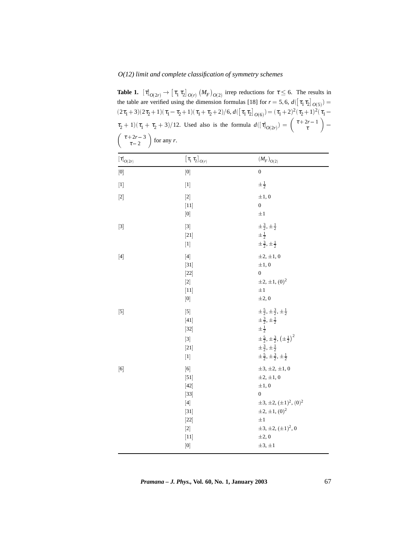**Table 1.**  $[\tau]_{O(2r)} \to [\tau_1 \tau_2]_{O(r)} (M_F)_{O(2)}$  irrep reductions for  $\tau \leq 6$ . The results in the table are verified using the dimension formulas [18] for  $r = 5, 6$ ,  $d(\lfloor \tau_1 \tau_2 \rfloor_{O(5)}) =$  $(2\tau_1+3)(2\tau_2+1)(\tau_1-\tau_2+1)(\tau_1+\tau_2+2)/6,$   $d(\left[\tau_1\tau_2\right]_{O(6)})=(\tau_1+2)^2(\tau_2+1)^2(\tau_1-1)$  $\tau_2 + 1/(\tau_1 + \tau_2 + 3)/12$ . Used also is the formula  $d([\tau]_{O(2r)}) = \begin{pmatrix} \tau + 2r - 1 \\ \tau \end{pmatrix}$  $\left(\begin{array}{c} \tau + 2r - 3 \\ \tau - 2 \end{array}\right)$  for any *r*.

| $\left[\tau\right]_{O(2r)}$                                                                                                                                                                                                                                                                                                                                                                                                                                                                                                                                                                                                                                                                                                                                                                                                                         | $\left[\left.\tau_{1}\right.\tau_{2}\right]_{\mathcal{O}\left(r\right)}$                                                                                                                                                                                                                                                                                                                                                                                                                                                                                                                                                                                                                                                                                                                                                                                                                                                                                                                                                                                                                                                                                                                                                                                                                                                                                                                                                                                                                                                                                                                         | $\left(M_{F}\right)_{O(2)}$                                                                                                                                                                                                                                           |
|-----------------------------------------------------------------------------------------------------------------------------------------------------------------------------------------------------------------------------------------------------------------------------------------------------------------------------------------------------------------------------------------------------------------------------------------------------------------------------------------------------------------------------------------------------------------------------------------------------------------------------------------------------------------------------------------------------------------------------------------------------------------------------------------------------------------------------------------------------|--------------------------------------------------------------------------------------------------------------------------------------------------------------------------------------------------------------------------------------------------------------------------------------------------------------------------------------------------------------------------------------------------------------------------------------------------------------------------------------------------------------------------------------------------------------------------------------------------------------------------------------------------------------------------------------------------------------------------------------------------------------------------------------------------------------------------------------------------------------------------------------------------------------------------------------------------------------------------------------------------------------------------------------------------------------------------------------------------------------------------------------------------------------------------------------------------------------------------------------------------------------------------------------------------------------------------------------------------------------------------------------------------------------------------------------------------------------------------------------------------------------------------------------------------------------------------------------------------|-----------------------------------------------------------------------------------------------------------------------------------------------------------------------------------------------------------------------------------------------------------------------|
| $[0] % \begin{center} % \includegraphics[width=\linewidth]{imagesSupplemental_3.png} % \end{center} % \caption { % Our method can be used for the use of the image. % Note that the \emph{Def}(i) and the \emph{Def}(i) are the same and the \emph{Def}(i) and the \emph{Def}(i) are the same. % } % \label{fig:Defin_3} %$                                                                                                                                                                                                                                                                                                                                                                                                                                                                                                                         | $[0]% \centering \includegraphics[width=0.9\columnwidth]{figures/fig_10.pdf} \caption{The figure shows the number of parameters in the left and right.}\label{fig:time_vs_gamma}$                                                                                                                                                                                                                                                                                                                                                                                                                                                                                                                                                                                                                                                                                                                                                                                                                                                                                                                                                                                                                                                                                                                                                                                                                                                                                                                                                                                                                | $\boldsymbol{0}$                                                                                                                                                                                                                                                      |
| $[1] % \begin{center} % \includegraphics[width=\linewidth]{imagesSupplemental_3.png} % \end{center} % \caption { % Our method can be used for the proposed method. % Note that the \emph{exponent} and the \emph{exponent} is the \emph{exponent} and the \emph{exponent} is the \emph{exponent} and the \emph{exponent} is the \emph{exponent} and the \emph{exponent} is the \emph{exponent} and the \emph{exponent} is the \emph{exponent} and the \emph{exponent} is the \emph{exponent} and the \emph{exponent} is the \emph{exponent} and the \emph{exponent} is the \emph{exponent} and the \emph{exponent} is the \emph{exponent}$                                                                                                                                                                                                          | $[1] % \begin{center} % \includegraphics[width=\linewidth]{imagesSupplemental_3.png} % \end{center} % \caption { % Our method is used for the method. % Our method is used for the method. % Note that the \emph{exponent} is used for the method. % Note that the \emph{exponent} is used for the method. % Note that the \emph{exponent} is used for the method. % Note that the \emph{exponent} is used for the method. % Note that the \emph{exponent} is used for the method. % Note that the \emph{exponent} is used for the method. % Note that the \emph{exportector} is used for the method. % Note that the \emph{exportector} is used for the method. % Note that the \emph{exportector} is used for the method. % Note that the \emph{export$                                                                                                                                                                                                                                                                                                                                                                                                                                                                                                                                                                                                                                                                                                                                                                                                                                        | $\pm \frac{1}{2}$                                                                                                                                                                                                                                                     |
|                                                                                                                                                                                                                                                                                                                                                                                                                                                                                                                                                                                                                                                                                                                                                                                                                                                     | $\left[11\right]$<br>$[0] % \begin{center} % \includegraphics[width=\linewidth]{imagesSupplemental_3.png} % \end{center} % \caption { % Our method can be used for the use of the image. % Note that the \emph{Def}(t) is the same number of times, and the \emph{Def}(t) is the same number of times. % \label{fig:Defin_3} %$                                                                                                                                                                                                                                                                                                                                                                                                                                                                                                                                                                                                                                                                                                                                                                                                                                                                                                                                                                                                                                                                                                                                                                                                                                                                  | $\pm 1, 0$<br>$\boldsymbol{0}$<br>$\pm 1$                                                                                                                                                                                                                             |
| $[3] % \begin{center} \includegraphics[width=\linewidth]{imagesSupplemental/Imers.png} \end{center} % \vspace*{-1em} \caption{The image shows the number of parameters of the parameter $\mathcal{M}_1$ and the number of parameters of the parameter $\mathcal{M}_1$ and the number of parameters of the parameter $\mathcal{M}_2$ and the number of parameters of the parameter $\mathcal{M}_1$ and the number of parameters of the parameter $\mathcal{M}_2$ and the number of parameters of the parameter $\mathcal{M}_1$ and the number of parameters of the parameter $\mathcal{M}_1$ and the number of parameters of the parameter $\mathcal{M}_2$ and the number of parameters of the parameter $\mathcal{M}_1$ and the number of parameters of the parameter $\mathcal{M}_1$ and the number of parameters of the parameter $\mathcal{M}_2$ | $[3] % \begin{center} \includegraphics[width=\linewidth]{imagesSupplemental/Imers.png} \end{center} % \vspace*{-1em} \caption{The image shows the number of parameters of the parameter $\mathcal{M}_1$ and the number of parameters of the parameter $\mathcal{M}_1$ and the number of parameters of the parameter $\mathcal{M}_2$ and the number of parameters of the parameter $\mathcal{M}_1$ and the number of parameters of the parameter $\mathcal{M}_1$ and the number of parameters of the parameter $\mathcal{M}_2$ and the number of parameters of the parameter $\mathcal{M}_1$ and the number of parameters of the parameter $\mathcal{M}_1$ and the number of parameters of the parameter $\mathcal{M}_2$ and the number of parameters of the parameter $\mathcal{M}_1$ and the number of parameters of the parameter $\mathcal{M}_1$<br>$[21]$<br>$[1] % \begin{center} % \includegraphics[width=\linewidth]{imagesSupplemental_3.png} % \end{center} % \caption { % Our method can be used for the proposed method. % Note that the \emph{exponent} is used in the text. % Note that the \emph{exponent} is used in the text. % Note that the \emph{exponent} is used in the text. % Note that the \emph{exponent} is used in the text. % Note that the \emph{exponent} is used in the text. % Note that the \emph{exponent} is used in the text. % Note that the \emph{exponent} is used in the text. % Note that the \emph{exponent} is used in the text. % Note that the \emph{exponent} is used in the text. % Note that the \emph{exportector} is used in the text. % Note$ | $\pm \frac{3}{2}, \pm \frac{1}{2}$<br>$\pm \frac{1}{2}$<br>$\pm \frac{3}{2}, \pm \frac{1}{2}$                                                                                                                                                                         |
| $[4] % \begin{center} \includegraphics[width=\linewidth]{imagesSupplemental/Imh} \end{center} % \vspace*{-1em} \caption{The figure shows the results of the estimators in the left and right.} \label{fig:limal}$                                                                                                                                                                                                                                                                                                                                                                                                                                                                                                                                                                                                                                   | $[4] % \begin{center} \includegraphics[width=\linewidth]{imagesSupplemental/Imetad-Architecture.png} \end{center} % \vspace*{-1em} \caption{The image shows the parameters of the parameters of the parameter $\mathcal{M}_1$ and the parameters of the parameter $\mathcal{M}_1$ and the parameters of the parameter $\mathcal{M}_2$ and the parameters of the parameter $\mathcal{M}_1$ and the parameters of the parameter $\mathcal{M}_2$ and the parameters of the parameter $\mathcal{M}_1$ and the parameters of the parameter $\mathcal{M}_2$ and the parameters of the parameter $\mathcal{M}_1$ and the parameters of the parameter $\mathcal{M}_2$ and the parameters of the parameter $\mathcal{M}_1$ and the parameters of the parameter $\mathcal{M}_1$ and the parameters of the parameter $\mathcal{M}_2$$<br>$[31]$<br>$[22]$<br>$[0] % \begin{center} % \includegraphics[width=\linewidth]{imagesSupplemental_3.png} % \end{center} % \caption { % Our method can be used for the use of the image. % Note that the \emph{Def}(t) is the same number of times, and the \emph{Def}(t) is the same number of times. % \label{fig:Defin_3} %$                                                                                                                                                                                                                                                                                                                                                                                                                                     | $\pm 2, \pm 1, 0$<br>$\pm 1, 0$<br>$\boldsymbol{0}$<br>$\pm 2, \pm 1, (0)^2$<br>$\pm 1$<br>$\pm 2, 0$                                                                                                                                                                 |
| $[5] % \begin{center} \includegraphics[width=\linewidth]{imagesSupplemental/Imit} \caption{The image shows the image shows a single number of times.} \label{fig:limal} \end{center}$                                                                                                                                                                                                                                                                                                                                                                                                                                                                                                                                                                                                                                                               | $[41]$<br>$[32]$<br>$[3] % \begin{center} \includegraphics[width=\linewidth]{imagesSupplemental/Imers.png} \end{center} % \vspace*{-1em} \caption{The image shows the number of parameters of the parameter $\mathcal{M}_1$ and the number of parameters of the parameter $\mathcal{M}_1$ and the number of parameters of the parameter $\mathcal{M}_2$ and the number of parameters of the parameter $\mathcal{M}_1$ and the number of parameters of the parameter $\mathcal{M}_1$ and the number of parameters of the parameter $\mathcal{M}_2$ and the number of parameters of the parameter $\mathcal{M}_1$ and the number of parameters of the parameter $\mathcal{M}_1$ and the number of parameters of the parameter $\mathcal{M}_2$ and the number of parameters of the parameter $\mathcal{M}_1$ and the number of parameters of the parameter $\mathcal{M}_1$<br>$[21]$<br>$[1] % \begin{center} % \includegraphics[width=\linewidth]{imagesSupplemental_3.png} % \end{center} % \caption { % Our method can be used for the use of the image. % Note that the \emph{DefNet}~\cite{bib30} as a function of the \emph{DefNet}~\cite{bib30} as a function of the \emph{DefNet}~\cite{bib30} as a function of the \emph{DefNet}~\cite{bib30} as a function of the \emph{DefNet}~\cite{bib30} as a function of the \emph{DefNet}~\cite{bib30} as a function of the \emph{DefNet}~\cite{bib30} as a function of the \emph{DefNet}~\cite{bib30} as a function of the \emph{DefNet}$                                                                                                          | $\pm \frac{5}{2}, \pm \frac{3}{2}, \pm \frac{1}{2}$<br>$\pm \frac{3}{2}, \pm \frac{1}{2}$<br>$\pm\frac{1}{2}$<br>$\pm \frac{5}{2}, \pm \frac{3}{2}, (\pm \frac{1}{2})^2$<br>$\pm \frac{3}{2}, \pm \frac{1}{2}$<br>$\pm \frac{5}{2}, \pm \frac{3}{2}, \pm \frac{1}{2}$ |
|                                                                                                                                                                                                                                                                                                                                                                                                                                                                                                                                                                                                                                                                                                                                                                                                                                                     | $[6] \centering% \includegraphics[width=0.8\textwidth]{images/TrDiag-Architecture.png} \caption{The 1000 of the estimators in the left and right. The 1000 of the right and right. The 1000 of the right and right. The 1000 of the right and right.} \label{TrDiag-Architecture}$<br>$[51]$<br>42<br>$[33]$<br>$[4] % \begin{center} \includegraphics[width=\linewidth]{imagesSupplemental/Imetad-Architecture.png} \end{center} % \vspace*{-1em} \caption{The image shows the parameters of the parameters of the parameter $\mathcal{M}_1$ and the parameters of the parameter $\mathcal{M}_1$ and the parameters of the parameter $\mathcal{M}_2$ and the parameters of the parameter $\mathcal{M}_1$ and the parameters of the parameter $\mathcal{M}_2$ and the parameters of the parameter $\mathcal{M}_1$ and the parameters of the parameter $\mathcal{M}_2$ and the parameters of the parameter $\mathcal{M}_1$ and the parameters of the parameter $\mathcal{M}_2$ and the parameters of the parameter $\mathcal{M}_1$ and the parameters of the parameter $\mathcal{M}_2$ and the parameters of the parameter $\mathcal{M}_1$$<br>$[31]$<br>$[22]$<br>$[0] % \begin{center} % \includegraphics[width=\linewidth]{imagesSupplemental_3.png} % \end{center} % \caption { % Our method can be used for the use of the image. % Note that the \emph{Def}(t) is the same number of times, and the \emph{Def}(t) is the same number of times. % \label{fig:Defin_3} %$                                                                                                                     | $\pm 3, \pm 2, \pm 1, 0$<br>$\pm 2, \pm 1, 0$<br>$\pm 1, 0$<br>$\boldsymbol{0}$<br>$\pm 3, \pm 2, (\pm 1)^2, (0)^2$<br>$\pm 2, \pm 1, (0)^2$<br>$\pm 1$<br>$\pm 3, \pm 2, (\pm 1)^2, 0$<br>$\pm 2, 0$<br>$\pm 3, \pm 1$                                               |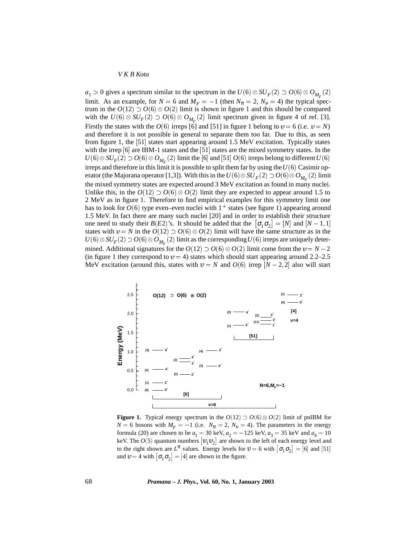$a_1 > 0$  gives a spectrum similar to the spectrum in the  $U(6) \otimes SU_F(2) \supset O(6) \otimes O_{M_F}(2)$ limit. As an example, for  $N = 6$  and  $M_F = -1$  (then  $N_\pi = 2$ ,  $N_V = 4$ ) the typical spectrum in the  $O(12) \supset O(6) \otimes O(2)$  limit is shown in figure 1 and this should be compared with the  $U(6) \otimes SU_F(2) \supset O(6) \otimes O_{M_F}(2)$  limit spectrum given in figure 4 of ref. [3]. Firstly the states with the  $O(6)$  irreps [6] and [51] in figure 1 belong to  $v = 6$  (i.e.  $v = N$ ) and therefore it is not possible in general to separate them too far. Due to this, as seen from figure 1, the [51] states start appearing around 1.5 MeV excitation. Typically states with the irrep [6] are IBM-1 states and the [51] states are the mixed symmetry states. In the  $U(6) \otimes SU_F(2) \supset O(6) \otimes O_{M_F}(2)$  limit the [6] and [51]  $O(6)$  irreps belong to different  $U(6)$ irreps and therefore in this limit it is possible to split them far by using the*U* (6) Casimir operator (the Majorana operator [1,3]). With this in the  $U(6)\otimes SU_{F}(2)\supset O(6)\otimes O_{M_{F}}(2)$  limit the mixed symmetry states are expected around 3 MeV excitation as found in many nuclei. Unlike this, in the  $O(12) \supset O(6) \otimes O(2)$  limit they are expected to appear around 1.5 to 2 MeV as in figure 1. Therefore to find empirical examples for this symmetry limit one has to look for  $O(6)$  type even–even nuclei with  $1^+$  states (see figure 1) appearing around 1.5 MeV. In fact there are many such nuclei [20] and in order to establish their structure one need to study their  $B(E2)$ 's. It should be added that the  $\sigma_1 \sigma_2 = [N]$  and  $[N-1,1]$ states with  $v = N$  in the  $O(12) \supset O(6) \otimes O(2)$  limit will have the same structure as in the  $U(6) \otimes SU_F(2) \supset O(6) \otimes O_{M_F}(2)$  limit as the corresponding  $U(6)$  irreps are uniquely determined. Additional signatures for the  $O(12) \supset O(6) \otimes O(2)$  limit come from the  $\nu = N - 2$ (in figure 1 they correspond to  $v = 4$ ) states which should start appearing around 2.2–2.5 MeV excitation (around this, states with  $v = N$  and  $O(6)$  irrep  $[N-2,2]$  also will start



**Figure 1.** Typical energy spectrum in the  $O(12) \supset O(6) \otimes O(2)$  limit of pnIBM for  $N = 6$  bosons with  $M_F = -1$  (i.e.  $N_\pi = 2$ ,  $N_V = 4$ ). The parameters in the energy formula (20) are chosen to be  $a_1 = 30$  keV,  $a_2 = -125$  keV,  $a_3 = 35$  keV and  $a_4 = 10$ keV. The  $O(5)$  quantum numbers  $\lfloor v_1 v_2 \rfloor$  are shown to the left of each energy level and to the right shown are  $L^{\pi}$  values. Energy levels for  $v = 6$  with  $\sigma_1 \sigma_2$  = [6] and [51] and  $v = 4$  with  $\lfloor \sigma_1 \sigma_2 \rfloor = [4]$  are shown in the figure.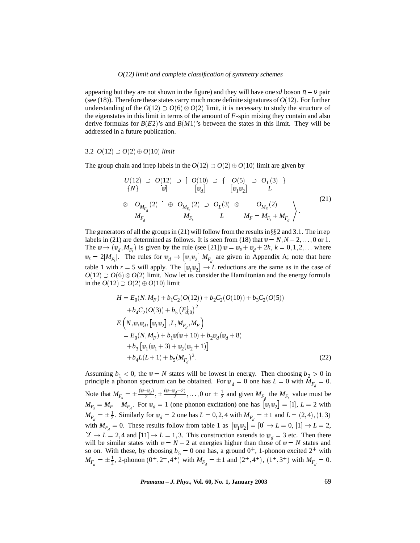appearing but they are not shown in the figure) and they will have one *sd* boson  $\pi - v$  pair (see (18)). Therefore these states carry much more definite signatures of  $O(12)$ . For further understanding of the  $O(12) \supset O(6) \otimes O(2)$  limit, it is necessary to study the structure of the eigenstates in this limit in terms of the amount of *F*-spin mixing they contain and also derive formulas for  $B(E2)$ 's and  $B(M1)$ 's between the states in this limit. They will be addressed in a future publication.

### 3.2  $O(12) \supset O(2) \oplus O(10)$  *limit*

the contract of the contract of the contract of the contract of the contract of

The group chain and irrep labels in the  $O(12) \supset O(2) \oplus O(10)$  limit are given by

$$
\begin{array}{ccc}\n|U(12) & \supset & O(12) & \supset & [ & O(10) & \supset & \{ & O(5) & \supset & O_L(3) & \} \\
\{N\} & & [v] & & [v_d] & & [v_1v_2] & L \\
& \otimes & O_{M_{F_d}}(2) & ] & \oplus & O_{M_{F_s}}(2) & \supset & O_L(3) & \otimes & O_{M_F}(2) \\
& M_{F_d} & & M_{F_s} & L & M_F = M_{F_s} + M_{F_d}\n\end{array}\n\tag{21}
$$

The generators of all the groups in (21) will follow from the results in  $\S$ 2 and 3.1. The irrep labels in (21) are determined as follows. It is seen from (18) that  $v = N, N - 2, \ldots, 0$  or 1. The  $v \rightarrow (v_d, M_{F_s})$  is given by the rule (see [21])  $v = v_s + v_d + 2k$ ,  $k = 0, 1, 2, \dots$  where  $d_s = 2|M_{F_s}|$ . The rules for  $v_d \to [v_1v_2] M_{F_d}$  are given in Appendix A; note that here table 1 with  $r = 5$  will apply. The  $\left[\mathbf{u}_1 \mathbf{u}_2\right] \rightarrow L$  reductions are the same as in the case of  $O(12) \supset O(6) \otimes O(2)$  limit. Now let us consider the Hamiltonian and the energy formula in the  $O(12) \supset O(2) \oplus O(10)$  limit

$$
H = E_0(N, M_F) + b_1C_2(O(12)) + b_2C_2(O(10)) + b_3C_2(O(5))
$$
  
+ $b_4C_2(O(3)) + b_5(F_{d;0}^1)^2$   

$$
E(N, v, v_d, [v_1v_2], L, M_{F_d}, M_F)
$$
  
=  $E_0(N, M_F) + b_1v(v + 10) + b_2v_d(v_d + 8)$   
+ $b_3[v_1(v_1 + 3) + v_2(v_2 + 1)]$   
+ $b_4L(L+1) + b_5(M_{F_d})^2$ . (22)

Assuming  $b_1 < 0$ , the  $v = N$  states will be lowest in energy. Then choosing  $b_2 > 0$  in principle a phonon spectrum can be obtained. For  $v_d = 0$  one has  $L = 0$  with  $M_{F_d} = 0$ . Note that  $M_{F_s} = \pm \frac{(v - v_d)}{2}, \pm \frac{(v - v_d - 2)}{2}, \ldots, 0$  or  $\pm \frac{1}{2}$  and given  $M_{F_d}$  the  $M_{F_s}$  value must be  $M_{F_s} = M_F - M_{F_d}$ . For  $v_d = 1$  (one phonon excitation) one has  $[v_1v_2] = [1], L = 2$  with  $M_{F_d} = \pm \frac{1}{2}$ . Similarly for  $v_d = 2$  one has  $L = 0, 2, 4$  with  $M_{F_d} = \pm 1$  and  $L = (2, 4), (1, 3)$ with  $M_{F_d} = 0$ . These results follow from table 1 as  $[v_1v_2] = [0] \rightarrow L = 0$ ,  $[1] \rightarrow L = 2$ ,  $[2] \rightarrow L = 2,4$  and  $[11] \rightarrow L = 1,3$ . This construction extends to  $v_d = 3$  etc. Then there will be similar states with  $v = N - 2$  at energies higher than those of  $v = N$  states and so on. With these, by choosing  $b_5 = 0$  one has, a ground  $0^+$ , 1-phonon excited  $2^+$  with  $M_{F_d} = \pm \frac{1}{2}$ , 2-phonon  $(0^+, 2^+, 4^+)$  with  $M_{F_d} = \pm 1$  and  $(2^+, 4^+)$ ,  $(1^+, 3^+)$  with  $M_{F_d} = 0$ .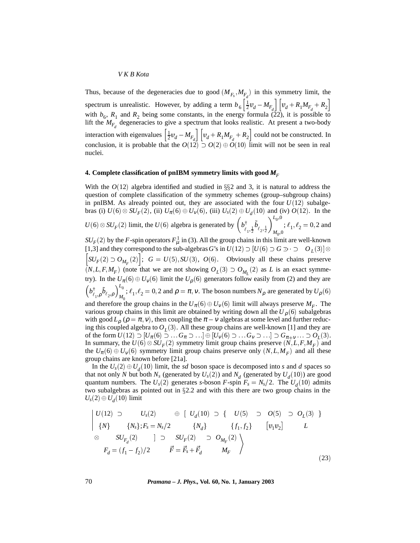Thus, because of the degeneracies due to good  $(M_{F_s}, M_{F_s})$  in this symmetry limit, the spectrum is unrealistic. However, by adding a term  $b_6 \left[\frac{1}{2}v_d - M_{F_d}\right] \left[v_d + R_1 M_{F_d} + R_2\right]$ with  $b_6$ ,  $R_1$  and  $R_2$  being some constants, in the energy formula (22), it is possible to lift the  $M_{F_d}$  degeneracies to give a spectrum that looks realistic. At present a two-body interaction with eigenvalues  $\left[\frac{1}{2}v_d - M_{F_d}\right] \left[v_d + R_1 M_{F_d} + R_2\right]$  could not be constructed. In conclusion, it is probable that the  $O(12) \supset O(2) \oplus O(10)$  limit will not be seen in real nuclei.

## **4. Complete classification of pnIBM symmetry limits with good** *MF*

With the  $O(12)$  algebra identified and studied in  $\S$ 2 and 3, it is natural to address the question of complete classification of the symmetry schemes (group–subgroup chains) in pnIBM. As already pointed out, they are associated with the four  $U(12)$  subalgebras (i)  $U(6) \otimes SU_F(2)$ , (ii)  $U_{\pi}(6) \oplus U_{\nu}(6)$ , (iii)  $U_s(2) \oplus U_d(10)$  and (iv)  $O(12)$ . In the  $U(6) \otimes SU_F(2)$  limit, the  $U(6)$  algebra is generated by  $\left(b_{\ell_1,\frac{1}{2}}^{\dagger} \tilde{b}_{\ell_2,\frac{1}{2}}\right)_{M_0,0}^{L_0,0}$ ;  $\ell_1, \ell_2 = 0, 2$  and  $SU_F(2)$  by the *F*-spin operators  $F^1_\mu$  in (3). All the group chains in this limit are well-known [1,3] and they correspond to the sub-algebras *G*'s in  $U(12) \supset [U(6) \supset G \supset \supset \supset C_L(3)]$  $\left[SU_F(2) \supset O_{M_F}(2)\right]; G = U(5), SU(3), O(6).$  Obviously all these chains preserve  $(N, L, F, M_F)$  (note that we are not showing  $O_L(3) \supset O_{M_L}(2)$  as *L* is an exact symmetry). In the  $U_{\pi}(6) \oplus U_{\nu}(6)$  limit the  $U_{\rho}(6)$  generators follow easily from (2) and they are  $\left( b_{\ell_1,\rho}^{\dagger} \tilde{b}_{\ell_2,\rho} \right)_{M_0}^{L_0}$ ;  $\ell_1, \ell_2 = 0, 2$  and  $\rho = \pi, \nu$ . The boson numbers  $N_\rho$  are generated by  $U_\rho(6)$ and therefore the group chains in the  $U_{\pi}(6) \oplus U_{\nu}(6)$  limit will always preserve  $M_{F}$ . The various group chains in this limit are obtained by writing down all the  $U<sub>0</sub>(6)$  subalgebras with good  $L_{\rho}$  ( $\rho = \pi$ ,  $v$ ), then coupling the  $\pi - v$  algebras at some level and further reducing this coupled algebra to  $O_L(3)$ . All these group chains are well-known [1] and they are of the form  $U(12) \supset [U_\pi(6) \supset \ldots G_\pi \supset \ldots] \oplus [U_\nu(6) \supset \ldots G_\nu \supset \ldots] \supset G_{\pi+\nu} \ldots \supset O_L(3).$ In summary, the  $U(6) \otimes SU_F(2)$  symmetry limit group chains preserve  $(N, L, F, M_F)$  and the  $U_{\pi}(6) \oplus U_{\nu}(6)$  symmetry limit group chains preserve only  $(N, L, M_F)$  and all these group chains are known before [21a].

In the  $U_s(2) \oplus U_d(10)$  limit, the *sd* boson space is decomposed into *s* and *d* spaces so that not only *N* but both  $N_s$  (generated by  $U_s(2)$ ) and  $N_d$  (generated by  $U_d(10)$ ) are good quantum numbers. The  $U_s(2)$  generates *s*-boson *F*-spin  $F_s = N_s/2$ . The  $U_d(10)$  admits two subalgebras as pointed out in  $\S 2.2$  and with this there are two group chains in the  $U_s(2) \oplus U_d(10)$  limit

$$
\begin{vmatrix}\nU(12) & \supset & U_s(2) & \oplus & [U_d(10) \supset \{ & U(5) \supset O(5) \supset O_L(3) \} \\
\{N\} & \{N_s\}; F_s = N_s/2 & \{N_d\} & \{f_1, f_2\} & [v_1 v_2] & L \\
\otimes & SU_{F_d}(2) & ] \supset & SU_F(2) & \supset O_{M_F}(2) \\
F_d = (f_1 - f_2)/2 & \vec{F} = \vec{F}_s + \vec{F}_d & M_F\n\end{vmatrix}
$$
\n
$$
(23)
$$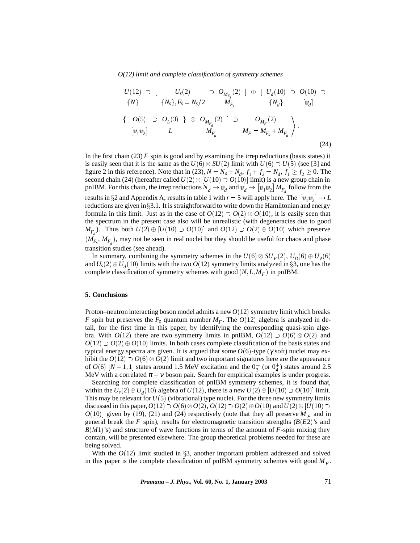$$
\begin{vmatrix}\nU(12) & \supset \begin{bmatrix} U_s(2) & \supset O_{M_{F_s}}(2) \end{bmatrix} \oplus \begin{bmatrix} U_d(10) & \supset O(10) \end{bmatrix} \\
\{N\} & \{N_s\}, F_s = N_s/2 \qquad M_{F_s} \qquad \{N_d\} \qquad [v_d] \\
\{O(5) & \supset O_L(3) \} \oplus O_{M_{F_d}}(2) \end{vmatrix} \supset O_{M_F}(2) \\
[v_1v_2] & L \qquad M_{F_d} \qquad M_F = M_{F_s} + M_{F_d} \qquad (24)
$$

In the first chain  $(23)$  *F* spin is good and by examining the irrep reductions (basis states) it is easily seen that it is the same as the  $U(6) \otimes SU(2)$  limit with  $U(6) \supset U(5)$  (see [3] and figure 2 in this reference). Note that in (23),  $N = N_s + N_d$ ,  $f_1 + f_2 = N_d$ ,  $f_1 \ge f_2 \ge 0$ . The second chain (24) (hereafter called  $U(2) \oplus [U(10) \supset O(\tilde{10})]$  limit) is a new group chain in pnIBM. For this chain, the irrep reductions  $N_d \to v_d$  and  $v_d \to [v_1 v_2] M_{F_d}$  follow from the results in §2 and Appendix A; results in table 1 with  $r = 5$  will apply here. The  $\left[\mathbf{u}_1 \mathbf{u}_2\right] \rightarrow L$ reductions are given in  $\S 3.1$ . It is straightforward to write down the Hamiltonian and energy formula in this limit. Just as in the case of  $O(12) \supset O(2) \oplus O(10)$ , it is easily seen that the spectrum in the present case also will be unrealistic (with degeneracies due to good *M<sub>F<sub>d</sub>*</sub>). Thus both  $U(2) \oplus [U(10) \supset O(10)]$  and  $O(12) \supset O(2) \oplus O(10)$  which preserve  $(M_{F_s}, M_{F_d})$ , may not be seen in real nuclei but they should be useful for chaos and phase transition studies (see ahead).

In summary, combining the symmetry schemes in the  $U(6) \otimes SU_F(2)$ ,  $U_{\pi}(6) \oplus U_{V}(6)$ and  $U_s(2) \oplus U_d(10)$  limits with the two  $O(12)$  symmetry limits analyzed in §3, one has the complete classification of symmetry schemes with good  $(N, L, M_F)$  in pnIBM.

## **5. Conclusions**

Proton–neutron interacting boson model admits a new*O*(12) symmetry limit which breaks *F* spin but preserves the  $F_z$  quantum number  $M_F$ . The  $O(12)$  algebra is analyzed in detail, for the first time in this paper, by identifying the corresponding quasi-spin algebra. With  $O(12)$  there are two symmetry limits in pnIBM,  $O(12) \supset O(6) \otimes O(2)$  and  $O(12) \supset O(2) \oplus O(10)$  limits. In both cases complete classification of the basis states and typical energy spectra are given. It is argued that some *O*(6)-type (γ soft) nuclei may exhibit the  $O(12) \supset O(6) \otimes O(2)$  limit and two important signatures here are the appearance of  $O(6)$  [ $N-1,1$ ] states around 1.5 MeV excitation and the  $0^+_3$  (or  $0^+_4$ ) states around 2.5 MeV with a correlated  $\pi - v$  boson pair. Search for empirical examples is under progress.

Searching for complete classification of pnIBM symmetry schemes, it is found that, within the  $U_s(2) \oplus U_d(10)$  algebra of  $U(12)$ , there is a new  $U(2) \oplus [U(10) \supset O(10)]$  limit. This may be relevant for  $U(5)$  (vibrational) type nuclei. For the three new symmetry limits discussed in this paper,  $O(12) \supset O(6) \otimes O(2)$ ,  $O(12) \supset O(2) \oplus O(10)$  and  $U(2) \oplus [U(10) \supset$  $O(10)$ ] given by (19), (21) and (24) respectively (note that they all preserve  $M_F$  and in general break the *F* spin), results for electromagnetic transition strengths (*B*(*E*2)'s and *B*(*M*1)'s) and structure of wave functions in terms of the amount of *F*-spin mixing they contain, will be presented elsewhere. The group theoretical problems needed for these are being solved.

With the  $O(12)$  limit studied in  $\S3$ , another important problem addressed and solved in this paper is the complete classification of pnIBM symmetry schemes with good  $M_F$ .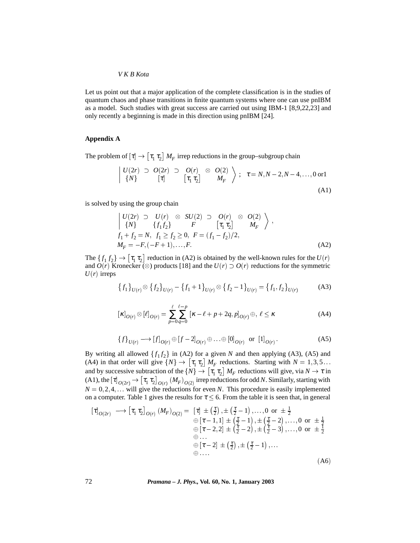Let us point out that a major application of the complete classification is in the studies of quantum chaos and phase transitions in finite quantum systems where one can use pnIBM as a model. Such studies with great success are carried out using IBM-1 [8,9,22,23] and only recently a beginning is made in this direction using pnIBM [24].

## **Appendix A**

The problem of  $[\tau] \rightarrow [\tau_1 \tau_2] M_F$  irrep reductions in the group–subgroup chain

$$
\begin{vmatrix} U(2r) & \supset & O(2r) & \supset & O(r) & \otimes & O(2) \\ \{N\} & \left[\tau\right] & \left[\tau_1 \tau_2\right] & M_F \end{vmatrix} \; ; \; \tau = N, N - 2, N - 4, \dots, 0 \text{ or } 1 \tag{A1}
$$

is solved by using the group chain

$$
\begin{vmatrix}\nU(2r) & \supset U(r) & \otimes SU(2) & \supset O(r) & \otimes O(2) \\
\{N\} & \{f_1 f_2\} & F & [\tau_1 \tau_2] & M_F \\
f_1 + f_2 = N, & f_1 \ge f_2 \ge 0, & F = (f_1 - f_2)/2, \\
M_F = -F, (-F + 1), \dots, F. & \tag{A2}
$$

The  $\{f_1 f_2\}$   $\rightarrow$   $[\tau_1 \tau_2]$  reduction in (A2) is obtained by the well-known rules for the *U*(*r*) and  $O(r)$  Kronecker ( $\otimes$ ) products [18] and the  $U(r) \supset O(r)$  reductions for the symmetric  $U(r)$  irreps

$$
\{f_1\}_{U(r)} \otimes \{f_2\}_{U(r)} - \{f_1 + 1\}_{U(r)} \otimes \{f_2 - 1\}_{U(r)} = \{f_1, f_2\}_{U(r)} \tag{A3}
$$

$$
\left[\kappa\right]_{O(r)} \otimes \left[\ell\right]_{O(r)} = \sum_{p=0}^{\ell} \sum_{q=0}^{\ell-p} \left[\kappa - \ell + p + 2q, p\right]_{O(r)} \oplus, \ \ell \le \kappa \tag{A4}
$$

$$
\{f\}_{U(r)} \longrightarrow [f]_{O(r)} \oplus [f-2]_{O(r)} \oplus \ldots \oplus [0]_{O(r)} \text{ or } [1]_{O(r)}.
$$
 (A5)

By writing all allowed  $\{f_1 f_2\}$  in (A2) for a given *N* and then applying (A3), (A5) and (A4) in that order will give  $\{N\} \to [\tau_1 \tau_2] M_F$  reductions. Starting with  $N = 1, 3, 5...$ and by successive subtraction of the  $\{N\} \to [\tau_1 \tau_2] M_F$  reductions will give, via  $N \to \tau$  in (A1), the  $[\tau]_{O(2r)} \to [\tau_1\,\tau_2]_{O(r)}\,(M_F)_{O(2)}$  irrep reductions for odd *N*. Similarly, starting with  $N = 0, 2, 4, \dots$  will give the reductions for even *N*. This procedure is easily implemented on a computer. Table 1 gives the results for  $\tau \leq 6$ . From the table it is seen that, in general

$$
\begin{aligned}\n[\tau]_{O(2r)} \longrightarrow [\tau_1 \tau_2]_{O(r)} (M_F)_{O(2)} &= [\tau] \pm (\frac{\tau}{2}), \pm (\frac{\tau}{2} - 1), \dots, 0 \text{ or } \pm \frac{1}{2} \\
&\quad \oplus [\tau - 1, 1] \pm (\frac{\tau}{2} - 1), \pm (\frac{\tau}{2} - 2), \dots, 0 \text{ or } \pm \frac{1}{2} \\
&\quad \oplus [\tau - 2, 2] \pm (\frac{\tau}{2} - 2), \pm (\frac{\tau}{2} - 3), \dots, 0 \text{ or } \pm \frac{1}{2} \\
&\quad \oplus \dots \\
\oplus \dots \\
\oplus \dots\n\end{aligned}
$$
\n
$$
\begin{aligned}\n[\tau_1 \tau_2]_{O(2)} &= [\tau_1] \pm (\tau_2 \tau_1) \pm (\tau_2 \tau_2) \pm (\tau_1 \tau_2 \tau_3) \pm (\tau_1 \tau_3 \tau_4) \\
&\quad \oplus \dots \\
\oplus \dots\n\end{aligned}
$$
\n
$$
\begin{aligned}\n[\tau_1 \tau_2]_{O(2)} &= [\tau_1] \pm (\tau_2 \tau_3) \pm (\tau_1 \tau_4) \pm (\tau_1 \tau_5) \pm (\tau_2 \tau_6) \\
&\quad \oplus \dots \\
\oplus \dots\n\end{aligned}
$$
\n
$$
\begin{aligned}\n[\tau_1 \tau_2]_{O(2)} &= [\tau_1] \pm (\tau_2 \tau_1) \pm (\tau_2 \tau_2) \pm (\tau_2 \tau_3) \pm (\tau_3 \tau_4) \\
\oplus \dots \\
\oplus \dots\n\end{aligned}
$$
\n
$$
\begin{aligned}\n[\tau_1 \tau_2]_{O(2)} &= [\tau_1] \pm (\tau_2 \tau_1) \pm (\tau_2 \tau_2) \pm (\tau_2 \tau_3) \pm (\tau_3 \tau_4) \\
\oplus \dots \\
\oplus \dots\n\end{aligned}
$$
\n
$$
\begin{aligned}\n[\tau_1 \tau_2]_{O(2)} &= [\tau_1] \pm (\tau_2 \tau_1) \pm (\tau_2 \tau_2) \pm (\tau_2 \tau_3) \pm (\tau_3 \tau_5) \\
\oplus \dots \\
[\tau_n \tau_n \tau_n] &= \tau_n \end{aligned}
$$
\n<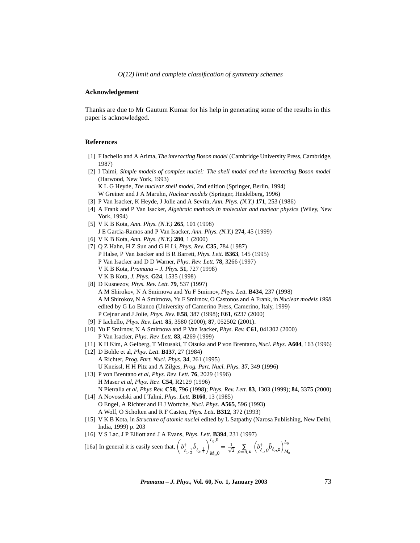## **Acknowledgement**

Thanks are due to Mr Gautum Kumar for his help in generating some of the results in this paper is acknowledged.

## **References**

- [1] F Iachello and A Arima, *The interacting Boson model* (Cambridge University Press, Cambridge, 1987)
- [2] I Talmi, *Simple models of complex nuclei: The shell model and the interacting Boson model* (Harwood, New York, 1993) K L G Heyde, *The nuclear shell model*, 2nd edition (Springer, Berlin, 1994) W Greiner and J A Maruhn, *Nuclear models* (Springer, Heidelberg, 1996)
- [3] P Van Isacker, K Heyde, J Jolie and A Sevrin, *Ann. Phys. (N.Y.)* **171**, 253 (1986)
- [4] A Frank and P Van Isacker, *Algebraic methods in molecular and nuclear physics* (Wiley, New York, 1994)
- [5] V K B Kota, *Ann. Phys. (N.Y.)* **265**, 101 (1998) J E Garcia-Ramos and P Van Isacker, *Ann. Phys. (N.Y.)* **274**, 45 (1999)
- [6] V K B Kota, *Ann. Phys. (N.Y.)* **280**, 1 (2000)
- [7] Q Z Hahn, H Z Sun and G H Li, *Phys. Rev.* **C35**, 784 (1987) P Halse, P Van Isacker and B R Barrett, *Phys. Lett.* **B363**, 145 (1995) P Van Isacker and D D Warner, *Phys. Rev. Lett.* **78**, 3266 (1997) V K B Kota, *Pramana – J. Phys.* **51**, 727 (1998) V K B Kota, *J. Phys.* **G24**, 1535 (1998)
- [8] D Kusnezov, *Phys. Rev. Lett.* **79**, 537 (1997) A M Shirokov, N A Smirnova and Yu F Smirnov, *Phys. Lett.* **B434**, 237 (1998) A M Shirokov, N A Smirnova, Yu F Smirnov, O Castonos and A Frank, in *Nuclear models 1998* edited by G Lo Bianco (University of Camerino Press, Camerino, Italy, 1999) P Cejnar and J Jolie, *Phys. Rev.* **E58**, 387 (1998); **E61**, 6237 (2000)
- [9] F Iachello, *Phys. Rev. Lett.* **85**, 3580 (2000); **87**, 052502 (2001).
- [10] Yu F Smirnov, N A Smirnova and P Van Isacker, *Phys. Rev.* **C61**, 041302 (2000) P Van Isacker, *Phys. Rev. Lett.* **83**, 4269 (1999)
- [11] K H Kim, A Gelberg, T Mizusaki, T Otsuka and P von Brentano,*Nucl. Phys.* **A604**, 163 (1996)
- [12] D Bohle et al, *Phys. Lett.* **B137**, 27 (1984) A Richter, *Prog. Part. Nucl. Phys.* **34**, 261 (1995) U Kneissl, H H Pitz and A Zilges, *Prog. Part. Nucl. Phys.* **37**, 349 (1996)
- [13] P von Brentano *et al*, *Phys. Rev. Lett.* **76**, 2029 (1996) H Maser *et al*, *Phys. Rev.* **C54**, R2129 (1996) N Pietralla *et al*, *Phys Rev.* **C58**, 796 (1998); *Phys. Rev. Lett.* **83**, 1303 (1999); **84**, 3375 (2000)
- [14] A Novoselski and I Talmi, *Phys. Lett.* **B160**, 13 (1985) O Engel, A Richter and H J Wortche, *Nucl. Phys.* **A565**, 596 (1993) A Wolf, O Scholten and R F Casten, *Phys. Lett.* **B312**, 372 (1993)
- [15] V K B Kota, in *Structure of atomic nuclei* edited by L Satpathy (Narosa Publishing, New Delhi, India, 1999) p. 203
- [16] V S Lac, J P Elliott and J A Evans, *Phys. Lett.* **B394**, 231 (1997)

[16a] In general it is easily seen that,  $\left(b_{\ell_1,\frac{1}{2}}^{\dagger} \tilde{b}_{\ell_2,\frac{1}{2}}\right)_{M_0,0}^{L_0,0} = \frac{1}{\sqrt{2}} \sum_{\rho=\pi,\nu} \left(b_{\ell_1,\rho}^{\dagger} \tilde{b}_{\ell_2,\rho}\right)_{M_0}^{L_0}$